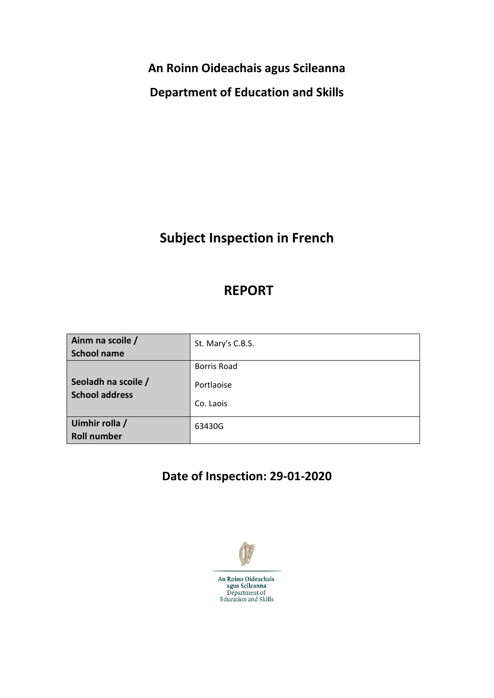**An Roinn Oideachais agus Scileanna**

**Department of Education and Skills**

# **Subject Inspection in French**

## **REPORT**

| Ainm na scoile /                             | St. Mary's C.B.S.  |
|----------------------------------------------|--------------------|
| <b>School name</b>                           |                    |
|                                              | <b>Borris Road</b> |
| Seoladh na scoile /<br><b>School address</b> | Portlaoise         |
|                                              | Co. Laois          |
| Uimhir rolla /                               | 63430G             |
| <b>Roll number</b>                           |                    |

# **Date of Inspection: 29-01-2020**

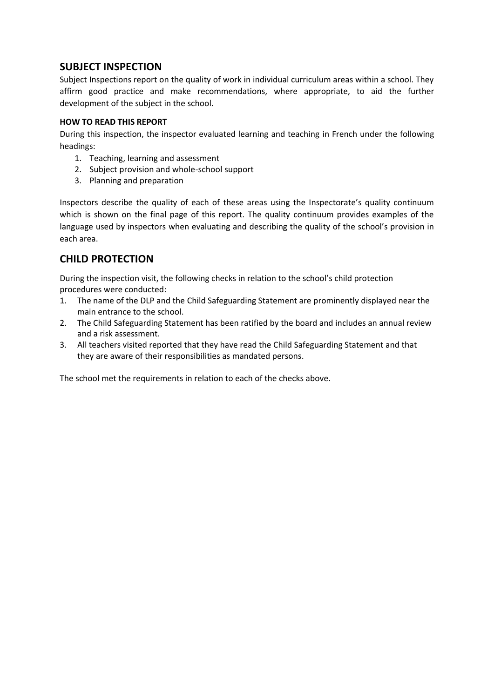## **SUBJECT INSPECTION**

Subject Inspections report on the quality of work in individual curriculum areas within a school. They affirm good practice and make recommendations, where appropriate, to aid the further development of the subject in the school.

### **HOW TO READ THIS REPORT**

During this inspection, the inspector evaluated learning and teaching in French under the following headings:

- 1. Teaching, learning and assessment
- 2. Subject provision and whole-school support
- 3. Planning and preparation

Inspectors describe the quality of each of these areas using the Inspectorate's quality continuum which is shown on the final page of this report. The quality continuum provides examples of the language used by inspectors when evaluating and describing the quality of the school's provision in each area.

## **CHILD PROTECTION**

During the inspection visit, the following checks in relation to the school's child protection procedures were conducted:

- 1. The name of the DLP and the Child Safeguarding Statement are prominently displayed near the main entrance to the school.
- 2. The Child Safeguarding Statement has been ratified by the board and includes an annual review and a risk assessment.
- 3. All teachers visited reported that they have read the Child Safeguarding Statement and that they are aware of their responsibilities as mandated persons.

The school met the requirements in relation to each of the checks above.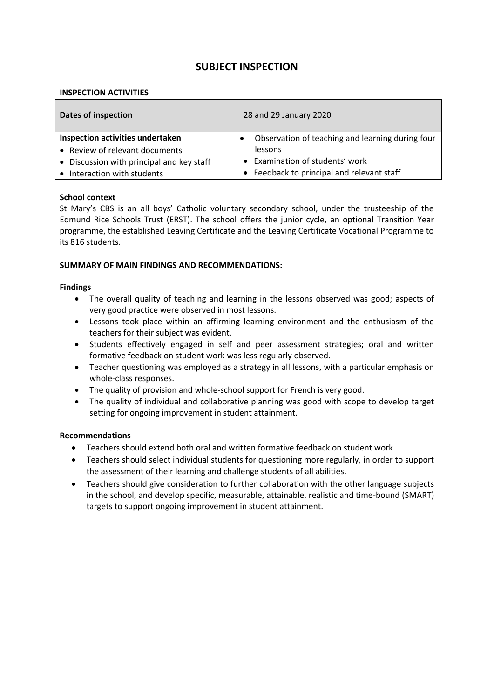## **SUBJECT INSPECTION**

#### **INSPECTION ACTIVITIES**

| <b>Dates of inspection</b>                | 28 and 29 January 2020                           |
|-------------------------------------------|--------------------------------------------------|
| Inspection activities undertaken          | Observation of teaching and learning during four |
| • Review of relevant documents            | lessons                                          |
| • Discussion with principal and key staff | • Examination of students' work                  |
| Interaction with students                 | Feedback to principal and relevant staff         |

#### **School context**

St Mary's CBS is an all boys' Catholic voluntary secondary school, under the trusteeship of the Edmund Rice Schools Trust (ERST). The school offers the junior cycle, an optional Transition Year programme, the established Leaving Certificate and the Leaving Certificate Vocational Programme to its 816 students.

#### **SUMMARY OF MAIN FINDINGS AND RECOMMENDATIONS:**

#### **Findings**

- The overall quality of teaching and learning in the lessons observed was good; aspects of very good practice were observed in most lessons.
- Lessons took place within an affirming learning environment and the enthusiasm of the teachers for their subject was evident.
- Students effectively engaged in self and peer assessment strategies; oral and written formative feedback on student work was less regularly observed.
- Teacher questioning was employed as a strategy in all lessons, with a particular emphasis on whole-class responses.
- The quality of provision and whole-school support for French is very good.
- The quality of individual and collaborative planning was good with scope to develop target setting for ongoing improvement in student attainment.

#### **Recommendations**

- Teachers should extend both oral and written formative feedback on student work.
- Teachers should select individual students for questioning more regularly, in order to support the assessment of their learning and challenge students of all abilities.
- Teachers should give consideration to further collaboration with the other language subjects in the school, and develop specific, measurable, attainable, realistic and time-bound (SMART) targets to support ongoing improvement in student attainment.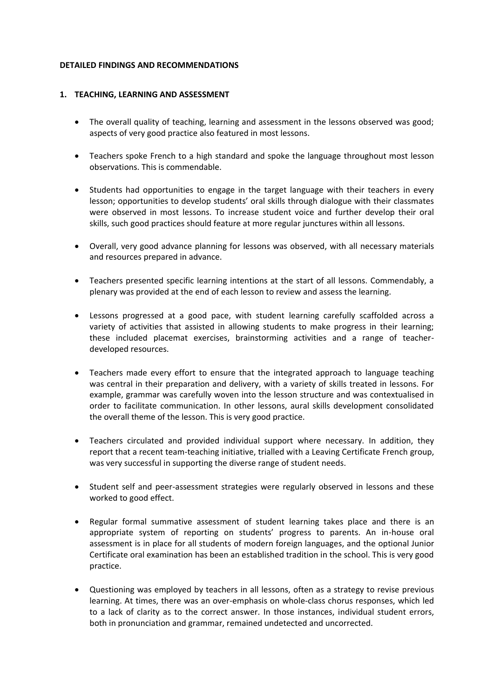#### **DETAILED FINDINGS AND RECOMMENDATIONS**

#### **1. TEACHING, LEARNING AND ASSESSMENT**

- The overall quality of teaching, learning and assessment in the lessons observed was good; aspects of very good practice also featured in most lessons.
- Teachers spoke French to a high standard and spoke the language throughout most lesson observations. This is commendable.
- Students had opportunities to engage in the target language with their teachers in every lesson; opportunities to develop students' oral skills through dialogue with their classmates were observed in most lessons. To increase student voice and further develop their oral skills, such good practices should feature at more regular junctures within all lessons.
- Overall, very good advance planning for lessons was observed, with all necessary materials and resources prepared in advance.
- Teachers presented specific learning intentions at the start of all lessons. Commendably, a plenary was provided at the end of each lesson to review and assess the learning.
- Lessons progressed at a good pace, with student learning carefully scaffolded across a variety of activities that assisted in allowing students to make progress in their learning; these included placemat exercises, brainstorming activities and a range of teacherdeveloped resources.
- Teachers made every effort to ensure that the integrated approach to language teaching was central in their preparation and delivery, with a variety of skills treated in lessons. For example, grammar was carefully woven into the lesson structure and was contextualised in order to facilitate communication. In other lessons, aural skills development consolidated the overall theme of the lesson. This is very good practice.
- Teachers circulated and provided individual support where necessary. In addition, they report that a recent team-teaching initiative, trialled with a Leaving Certificate French group, was very successful in supporting the diverse range of student needs.
- Student self and peer-assessment strategies were regularly observed in lessons and these worked to good effect.
- Regular formal summative assessment of student learning takes place and there is an appropriate system of reporting on students' progress to parents. An in-house oral assessment is in place for all students of modern foreign languages, and the optional Junior Certificate oral examination has been an established tradition in the school. This is very good practice.
- Questioning was employed by teachers in all lessons, often as a strategy to revise previous learning. At times, there was an over-emphasis on whole-class chorus responses, which led to a lack of clarity as to the correct answer. In those instances, individual student errors, both in pronunciation and grammar, remained undetected and uncorrected.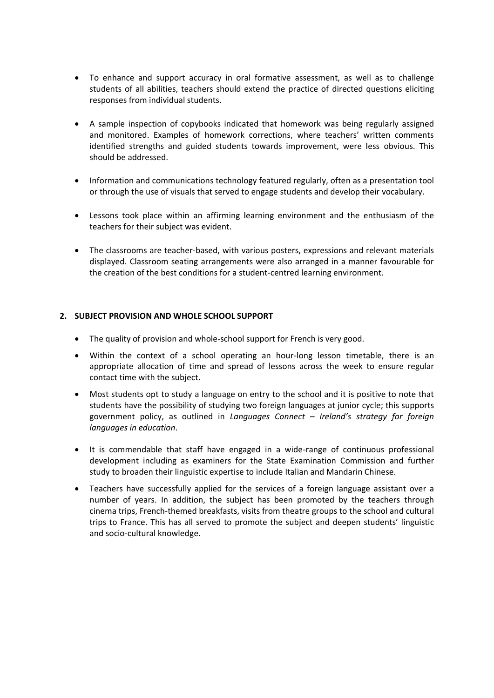- To enhance and support accuracy in oral formative assessment, as well as to challenge students of all abilities, teachers should extend the practice of directed questions eliciting responses from individual students.
- A sample inspection of copybooks indicated that homework was being regularly assigned and monitored. Examples of homework corrections, where teachers' written comments identified strengths and guided students towards improvement, were less obvious. This should be addressed.
- Information and communications technology featured regularly, often as a presentation tool or through the use of visuals that served to engage students and develop their vocabulary.
- Lessons took place within an affirming learning environment and the enthusiasm of the teachers for their subject was evident.
- The classrooms are teacher-based, with various posters, expressions and relevant materials displayed. Classroom seating arrangements were also arranged in a manner favourable for the creation of the best conditions for a student-centred learning environment.

### **2. SUBJECT PROVISION AND WHOLE SCHOOL SUPPORT**

- The quality of provision and whole-school support for French is very good.
- Within the context of a school operating an hour-long lesson timetable, there is an appropriate allocation of time and spread of lessons across the week to ensure regular contact time with the subject.
- Most students opt to study a language on entry to the school and it is positive to note that students have the possibility of studying two foreign languages at junior cycle; this supports government policy, as outlined in *Languages Connect – Ireland's strategy for foreign languages in education*.
- It is commendable that staff have engaged in a wide-range of continuous professional development including as examiners for the State Examination Commission and further study to broaden their linguistic expertise to include Italian and Mandarin Chinese.
- Teachers have successfully applied for the services of a foreign language assistant over a number of years. In addition, the subject has been promoted by the teachers through cinema trips, French-themed breakfasts, visits from theatre groups to the school and cultural trips to France. This has all served to promote the subject and deepen students' linguistic and socio-cultural knowledge.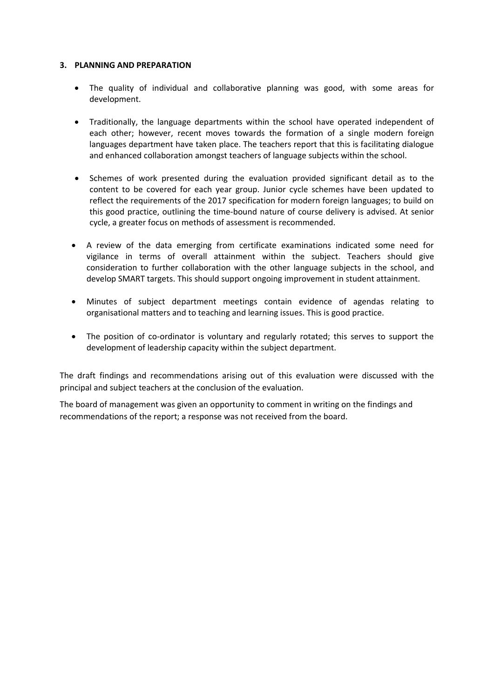#### **3. PLANNING AND PREPARATION**

- The quality of individual and collaborative planning was good, with some areas for development.
- Traditionally, the language departments within the school have operated independent of each other; however, recent moves towards the formation of a single modern foreign languages department have taken place. The teachers report that this is facilitating dialogue and enhanced collaboration amongst teachers of language subjects within the school.
- Schemes of work presented during the evaluation provided significant detail as to the content to be covered for each year group. Junior cycle schemes have been updated to reflect the requirements of the 2017 specification for modern foreign languages; to build on this good practice, outlining the time-bound nature of course delivery is advised. At senior cycle, a greater focus on methods of assessment is recommended.
- A review of the data emerging from certificate examinations indicated some need for vigilance in terms of overall attainment within the subject. Teachers should give consideration to further collaboration with the other language subjects in the school, and develop SMART targets. This should support ongoing improvement in student attainment.
- Minutes of subject department meetings contain evidence of agendas relating to organisational matters and to teaching and learning issues. This is good practice.
- The position of co-ordinator is voluntary and regularly rotated; this serves to support the development of leadership capacity within the subject department.

The draft findings and recommendations arising out of this evaluation were discussed with the principal and subject teachers at the conclusion of the evaluation.

The board of management was given an opportunity to comment in writing on the findings and recommendations of the report; a response was not received from the board.